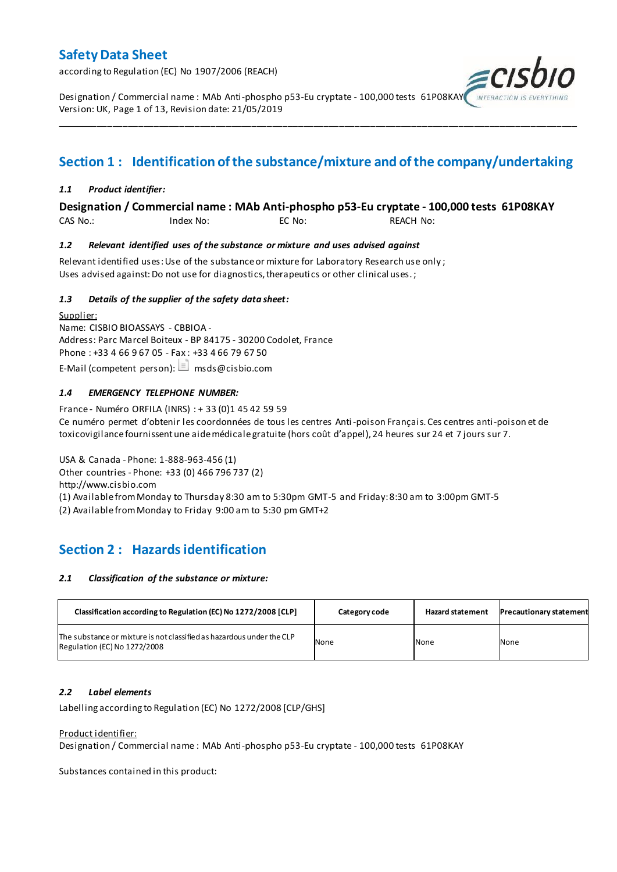according to Regulation (EC) No 1907/2006 (REACH)

Designation / Commercial name : MAb Anti-phospho p53-Eu cryptate - 100,000 tests 61P08KAY Version: UK, Page 1 of 13, Revision date: 21/05/2019

# **Section 1 : Identification of the substance/mixture and of the company/undertaking**

\_\_\_\_\_\_\_\_\_\_\_\_\_\_\_\_\_\_\_\_\_\_\_\_\_\_\_\_\_\_\_\_\_\_\_\_\_\_\_\_\_\_\_\_\_\_\_\_\_\_\_\_\_\_\_\_\_\_\_\_\_\_\_\_\_\_\_\_\_\_\_\_\_\_\_\_\_\_\_\_\_\_\_\_\_\_\_\_\_\_\_\_\_\_\_\_\_\_\_\_\_

#### *1.1 Product identifier:*

#### **Designation / Commercial name : MAb Anti-phospho p53-Eu cryptate - 100,000 tests 61P08KAY**

CAS No.: Index No: EC No: REACH No:

#### *1.2 Relevant identified uses of the substance or mixture and uses advised against*

Relevant identified uses: Use of the substance or mixture for Laboratory Research use only ; Uses advised against: Do not use for diagnostics, therapeutics or other clinical uses.;

#### *1.3 Details of the supplier of the safety data sheet:*

Supplier: Name: CISBIO BIOASSAYS - CBBIOA - Address: Parc Marcel Boiteux - BP 84175 - 30200 Codolet, France Phone : +33 4 66 9 67 05 - Fax : +33 4 66 79 67 50 E-Mail (competent person):  $\Box$  msds@cisbio.com

#### *1.4 EMERGENCY TELEPHONE NUMBER:*

France - Numéro ORFILA (INRS) : + 33 (0)1 45 42 59 59 Ce numéro permet d'obtenir les coordonnées de tous les centres Anti-poison Français. Ces centres anti-poison et de toxicovigilance fournissent une aide médicale gratuite (hors coût d'appel), 24 heures sur 24 et 7 jours sur 7.

USA & Canada - Phone: 1-888-963-456 (1) Other countries - Phone: +33 (0) 466 796 737 (2) http://www.cisbio.com (1) Available from Monday to Thursday 8:30 am to 5:30pm GMT-5 and Friday: 8:30 am to 3:00pm GMT-5

(2) Available from Monday to Friday 9:00 am to 5:30 pm GMT+2

## **Section 2 : Hazards identification**

#### *2.1 Classification of the substance or mixture:*

| Classification according to Regulation (EC) No 1272/2008 [CLP]                                        | Category code | <b>Hazard statement</b> | <b>Precautionary statement</b> |
|-------------------------------------------------------------------------------------------------------|---------------|-------------------------|--------------------------------|
| The substance or mixture is not classified as hazardous under the CLP<br>Regulation (EC) No 1272/2008 | None          | None                    | None                           |

#### *2.2 Label elements*

Labelling according to Regulation (EC) No 1272/2008 [CLP/GHS]

#### Product identifier:

Designation / Commercial name : MAb Anti-phospho p53-Eu cryptate - 100,000 tests 61P08KAY

Substances contained in this product: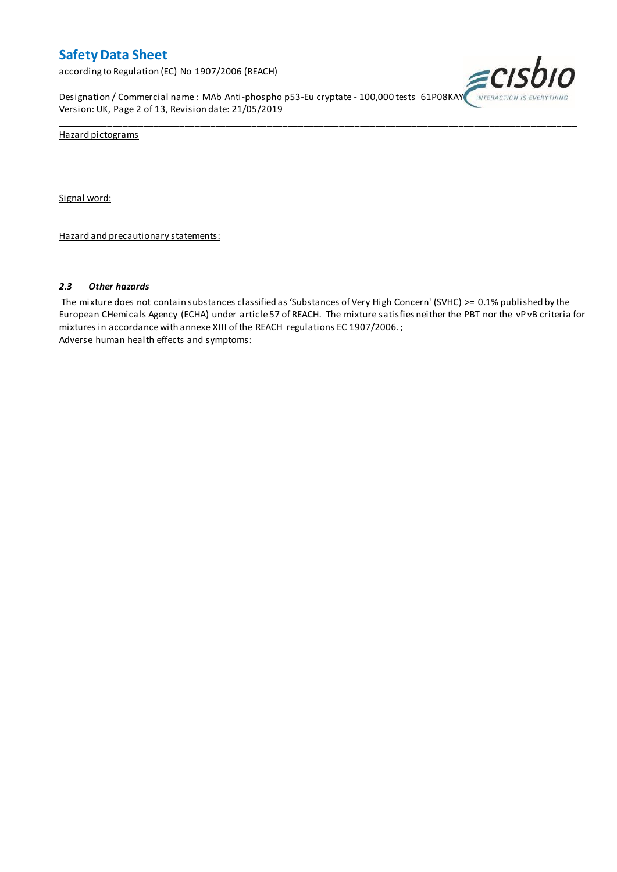according to Regulation (EC) No 1907/2006 (REACH)

Designation / Commercial name : MAb Anti-phospho p53-Eu cryptate - 100,000 tests 61P08KAY INTERACTION IS EVI Version: UK, Page 2 of 13, Revision date: 21/05/2019



Hazard pictograms

Signal word:

Hazard and precautionary statements:

#### *2.3 Other hazards*

The mixture does not contain substances classified as 'Substances of Very High Concern' (SVHC) >= 0.1% published by the European CHemicals Agency (ECHA) under article 57 of REACH. The mixture satisfies neither the PBT nor the vP vB criteria for mixtures in accordance with annexe XIII of the REACH regulations EC 1907/2006. ; Adverse human health effects and symptoms:

\_\_\_\_\_\_\_\_\_\_\_\_\_\_\_\_\_\_\_\_\_\_\_\_\_\_\_\_\_\_\_\_\_\_\_\_\_\_\_\_\_\_\_\_\_\_\_\_\_\_\_\_\_\_\_\_\_\_\_\_\_\_\_\_\_\_\_\_\_\_\_\_\_\_\_\_\_\_\_\_\_\_\_\_\_\_\_\_\_\_\_\_\_\_\_\_\_\_\_\_\_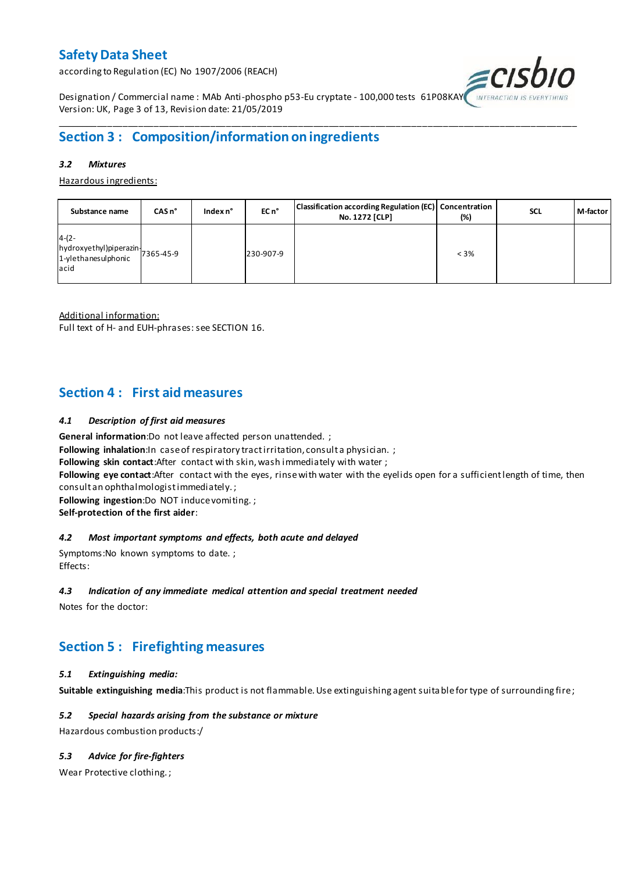according to Regulation (EC) No 1907/2006 (REACH)



Designation / Commercial name : MAb Anti-phospho p53-Eu cryptate - 100,000 tests 61P08KAY Version: UK, Page 3 of 13, Revision date: 21/05/2019

## **Section 3 : Composition/information on ingredients**

#### *3.2 Mixtures*

Hazardous ingredients:

| Substance name                                                               | CASn <sup>°</sup> | Index n° | EC n <sup>o</sup> | Classification according Regulation (EC) Concentration<br>No. 1272 [CLP] | (%)     | <b>SCL</b> | M-factor |
|------------------------------------------------------------------------------|-------------------|----------|-------------------|--------------------------------------------------------------------------|---------|------------|----------|
| $4-(2-$<br>hydroxyethyl)piperazin-<br>1-ylethanesulphonic 7365-45-9<br>lacid |                   |          | 230-907-9         |                                                                          | $< 3\%$ |            |          |

\_\_\_\_\_\_\_\_\_\_\_\_\_\_\_\_\_\_\_\_\_\_\_\_\_\_\_\_\_\_\_\_\_\_\_\_\_\_\_\_\_\_\_\_\_\_\_\_\_\_\_\_\_\_\_\_\_\_\_\_\_\_\_\_\_\_\_\_\_\_\_\_\_\_\_\_\_\_\_\_\_\_\_\_\_\_\_\_\_\_\_\_\_\_\_\_\_\_\_\_\_

Additional information:

Full text of H- and EUH-phrases: see SECTION 16.

### **Section 4 : First aid measures**

#### *4.1 Description of first aid measures*

**General information**:Do not leave affected person unattended. ;

**Following inhalation:**In case of respiratory tractirritation, consult a physician. ;

**Following skin contact**:After contact with skin, wash immediately with water ;

**Following eye contact**:After contact with the eyes, rinse with water with the eyelids open for a sufficient length of time, then consult an ophthalmologist immediately. ;

**Following ingestion**:Do NOT induce vomiting. ;

**Self-protection of the first aider**:

#### *4.2 Most important symptoms and effects, both acute and delayed*

Symptoms:No known symptoms to date. ; Effects:

#### *4.3 Indication of any immediate medical attention and special treatment needed*

Notes for the doctor:

## **Section 5 : Firefighting measures**

#### *5.1 Extinguishing media:*

**Suitable extinguishing media**:This product is not flammable. Use extinguishing agent suitable for type of surrounding fire ;

#### *5.2 Special hazards arising from the substance or mixture*

Hazardous combustion products:/

#### *5.3 Advice for fire-fighters*

Wear Protective clothing. ;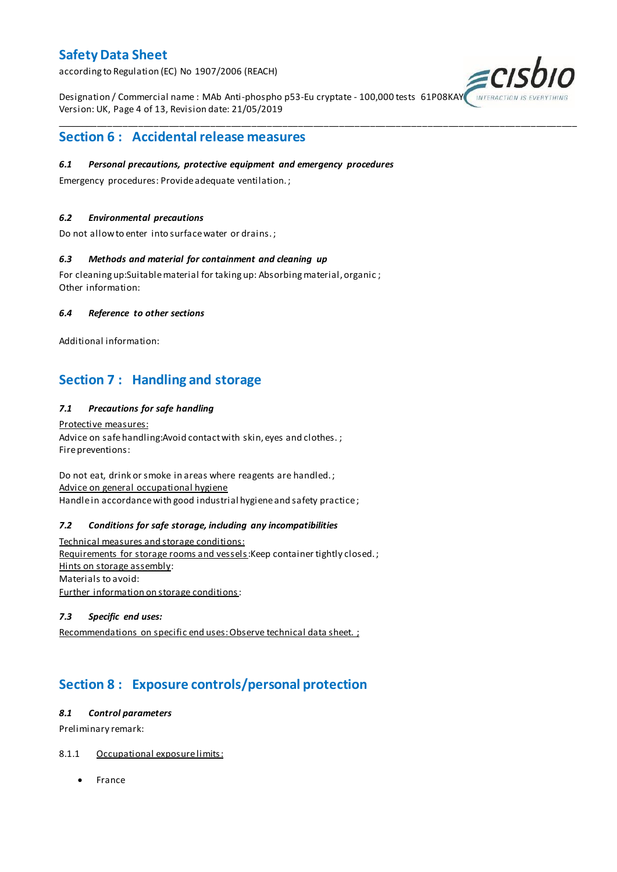according to Regulation (EC) No 1907/2006 (REACH)

Designation / Commercial name : MAb Anti-phospho p53-Eu cryptate - 100,000 tests 61P08KAY Version: UK, Page 4 of 13, Revision date: 21/05/2019

\_\_\_\_\_\_\_\_\_\_\_\_\_\_\_\_\_\_\_\_\_\_\_\_\_\_\_\_\_\_\_\_\_\_\_\_\_\_\_\_\_\_\_\_\_\_\_\_\_\_\_\_\_\_\_\_\_\_\_\_\_\_\_\_\_\_\_\_\_\_\_\_\_\_\_\_\_\_\_\_\_\_\_\_\_\_\_\_\_\_\_\_\_\_\_\_\_\_\_\_\_



### **Section 6 : Accidental release measures**

#### *6.1 Personal precautions, protective equipment and emergency procedures*

Emergency procedures: Provide adequate ventilation. ;

#### *6.2 Environmental precautions*

Do not allow to enter into surface water or drains. ;

#### *6.3 Methods and material for containment and cleaning up*

For cleaning up:Suitable material for taking up: Absorbing material, organic ; Other information:

#### *6.4 Reference to other sections*

Additional information:

## **Section 7 : Handling and storage**

#### *7.1 Precautions for safe handling*

Protective measures: Advice on safe handling: Avoid contact with skin, eyes and clothes.; Fire preventions:

Do not eat, drink or smoke in areas where reagents are handled. ; Advice on general occupational hygiene Handle in accordance with good industrial hygiene and safety practice;

#### *7.2 Conditions for safe storage, including any incompatibilities*

Technical measures and storage conditions: Requirements for storage rooms and vessels: Keep container tightly closed.; Hints on storage assembly: Materials to avoid: Further information on storage conditions:

#### *7.3 Specific end uses:*

Recommendations on specific end uses: Observe technical data sheet. ;

## **Section 8 : Exposure controls/personal protection**

#### *8.1 Control parameters*

Preliminary remark:

#### 8.1.1 Occupational exposure limits:

• France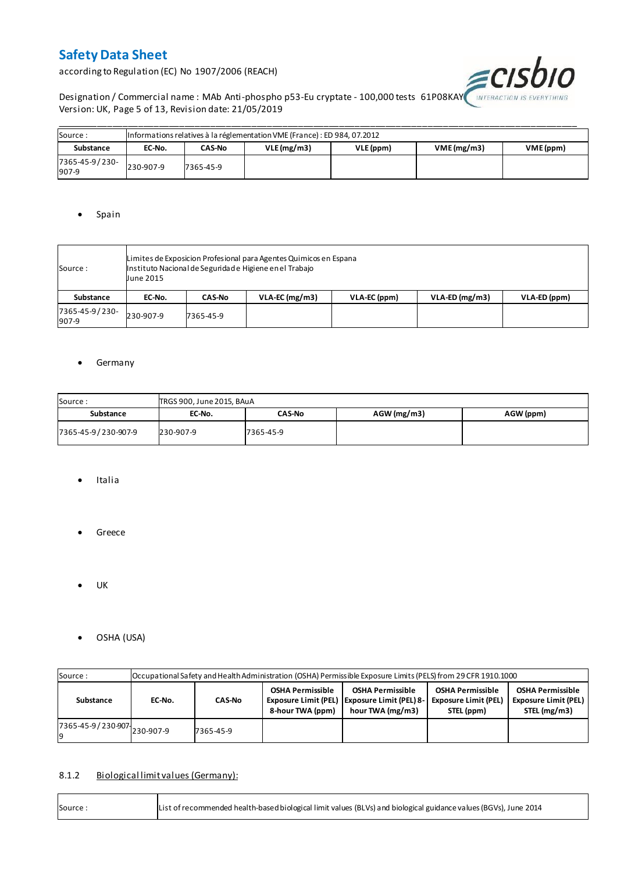according to Regulation (EC) No 1907/2006 (REACH)



Designation / Commercial name : MAb Anti-phospho p53-Eu cryptate - 100,000 tests 61P08KAY INTERACTION IS EVE Version: UK, Page 5 of 13, Revision date: 21/05/2019

| Source:                 | Informations relatives à la réglementation VME (France) : ED 984, 07.2012 |           |            |           |            |           |  |  |  |  |  |  |
|-------------------------|---------------------------------------------------------------------------|-----------|------------|-----------|------------|-----------|--|--|--|--|--|--|
| Substance               | EC-No.                                                                    | CAS-No    | VLE(mg/m3) | VLE (ppm) | VME(mg/m3) | VME (ppm) |  |  |  |  |  |  |
| 7365-45-9/230-<br>907-9 | 230-907-9                                                                 | 7365-45-9 |            |           |            |           |  |  |  |  |  |  |

#### • Spain

| Source :                | Limites de Exposicion Profesional para Agentes Quimicos en Espana<br>Instituto Nacional de Seguridade Higiene en el Trabajo<br><b>June 2015</b> |               |                  |              |                  |              |  |  |  |  |
|-------------------------|-------------------------------------------------------------------------------------------------------------------------------------------------|---------------|------------------|--------------|------------------|--------------|--|--|--|--|
| Substance               | EC-No.                                                                                                                                          | <b>CAS-No</b> | $VLA-EC$ (mg/m3) | VLA-EC (ppm) | $VLA-ED (mg/m3)$ | VLA-ED (ppm) |  |  |  |  |
| 7365-45-9/230-<br>907-9 | 230-907-9                                                                                                                                       | 7365-45-9     |                  |              |                  |              |  |  |  |  |

#### **•** Germany

| Source:             | TRGS 900, June 2015, BAuA |               |               |           |  |  |  |  |  |  |  |
|---------------------|---------------------------|---------------|---------------|-----------|--|--|--|--|--|--|--|
| Substance           | EC-No.                    | <b>CAS-No</b> | $AGW$ (mg/m3) | AGW (ppm) |  |  |  |  |  |  |  |
| 7365-45-9/230-907-9 | 230-907-9                 | 7365-45-9     |               |           |  |  |  |  |  |  |  |

- Italia
- **•** Greece
- $\bullet$  UK

r

OSHA (USA)

| Source:                       |        | Occupational Safety and Health Administration (OSHA) Permissible Exposure Limits (PELS) from 29 CFR 1910.1000 |  |                                                                                               |                                                                      |                                                                        |  |  |  |  |  |  |
|-------------------------------|--------|---------------------------------------------------------------------------------------------------------------|--|-----------------------------------------------------------------------------------------------|----------------------------------------------------------------------|------------------------------------------------------------------------|--|--|--|--|--|--|
| Substance                     | EC-No. | <b>OSHA Permissible</b><br><b>CAS-No</b><br>8-hour TWA (ppm)                                                  |  | <b>OSHA Permissible</b><br>Exposure Limit (PEL)   Exposure Limit (PEL) 8-<br>hour TWA (mg/m3) | <b>OSHA Permissible</b><br><b>Exposure Limit (PEL)</b><br>STEL (ppm) | <b>OSHA Permissible</b><br><b>Exposure Limit (PEL)</b><br>STEL (mg/m3) |  |  |  |  |  |  |
| 7365-45-9 / 230-907 230-907-9 |        | 7365-45-9                                                                                                     |  |                                                                                               |                                                                      |                                                                        |  |  |  |  |  |  |

#### 8.1.2 Biological limit values (Germany):

| List of recommended health-based biological limit values (BLVs) and biological guidance values (BGVs), June 2014<br>Source: |
|-----------------------------------------------------------------------------------------------------------------------------|
|-----------------------------------------------------------------------------------------------------------------------------|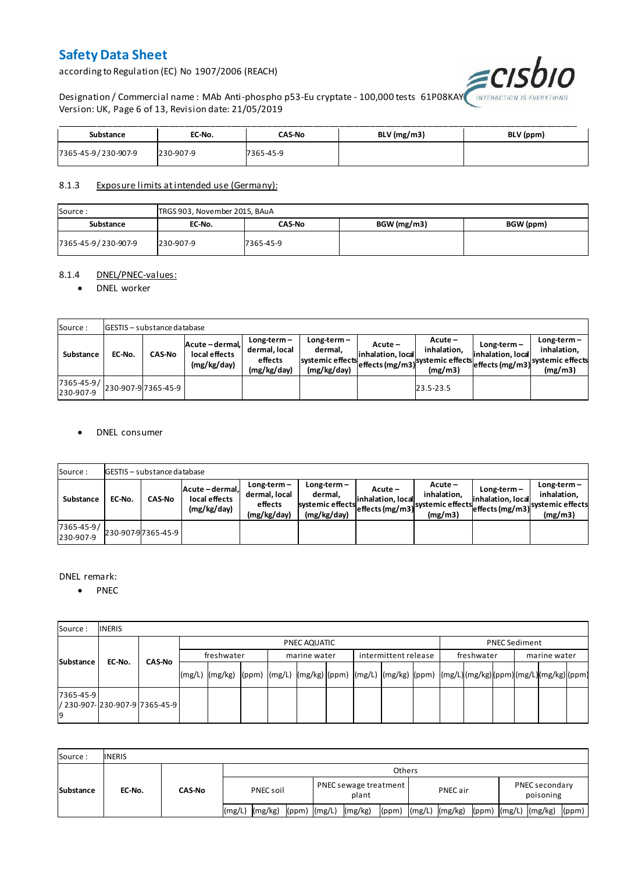according to Regulation (EC) No 1907/2006 (REACH)



Designation / Commercial name : MAb Anti-phospho p53-Eu cryptate - 100,000 tests 61P08KAY Version: UK, Page 6 of 13, Revision date: 21/05/2019

| Substance           | EC-No.    | CAS-No    | $BLV$ (mg/m3) | BLV (ppm) |
|---------------------|-----------|-----------|---------------|-----------|
| 7365-45-9/230-907-9 | 230-907-9 | 7365-45-9 |               |           |

#### 8.1.3 Exposure limits at intended use (Germany):

| Source:             | TRGS 903, November 2015, BAuA |           |             |           |  |  |  |  |  |  |
|---------------------|-------------------------------|-----------|-------------|-----------|--|--|--|--|--|--|
| Substance           | EC-No.                        | CAS-No    | BGW (mg/m3) | BGW (ppm) |  |  |  |  |  |  |
| 7365-45-9/230-907-9 | 230-907-9                     | 7365-45-9 |             |           |  |  |  |  |  |  |

#### 8.1.4 DNEL/PNEC-values:

#### • DNEL worker

| Source:                 |        | <b>GESTIS</b> - substance database |                                                 |                                                          |                                                           |                                 |                                                                            |                                    |                                                                                 |
|-------------------------|--------|------------------------------------|-------------------------------------------------|----------------------------------------------------------|-----------------------------------------------------------|---------------------------------|----------------------------------------------------------------------------|------------------------------------|---------------------------------------------------------------------------------|
| Substance               | EC-No. | <b>CAS-No</b>                      | Acute - dermal,<br>local effects<br>(mg/kg/day) | $Long-term -$<br>dermal, local<br>effects<br>(mg/kg/day) | Long-term –<br>dermal.<br>systemic effects<br>(mg/kg/day) | $Acute -$<br>linhalation. local | $Acute -$<br>inhalation.<br>vuleffects (mg/m3) systemic effects<br>(mg/m3) | $Long-term -$<br>inhalation, local | $Long-term -$<br>inhalation.<br>~~ leffects (mg/m3) systemic effects<br>(mg/m3) |
| 7365-45-9/<br>230-907-9 |        | 230-907-97365-45-9                 |                                                 |                                                          |                                                           |                                 | 23.5-23.5                                                                  |                                    |                                                                                 |

#### DNEL consumer

| Source:                       |        | GESTIS - substance database |                                               |                                                          |                                                             |                              |                                                                           |                                  |                                                                              |  |  |  |  |  |
|-------------------------------|--------|-----------------------------|-----------------------------------------------|----------------------------------------------------------|-------------------------------------------------------------|------------------------------|---------------------------------------------------------------------------|----------------------------------|------------------------------------------------------------------------------|--|--|--|--|--|
| Substance                     | EC-No. | <b>CAS-No</b>               | Acute-dermal.<br>local effects<br>(mg/kg/day) | $Long-term -$<br>dermal, local<br>effects<br>(mg/kg/day) | $Long-term -$<br>dermal,<br>systemic effects<br>(mg/kg/day) | Acute –<br>inhalation, local | $Acute -$<br>inhalation.<br>"leffects (mg/m3) systemic effects<br>(mg/m3) | Long-term –<br>inhalation, local | $Long-term -$<br>inhalation.<br>weffects (mg/m3) systemic effects<br>(mg/m3) |  |  |  |  |  |
| $7365 - 45 - 9/$<br>230-907-9 |        | 230-907-97365-45-9          |                                               |                                                          |                                                             |                              |                                                                           |                                  |                                                                              |  |  |  |  |  |

#### DNEL remark:

• PNEC

| Source:         | <b>INERIS</b>                  |               |            |                                                                                                                  |  |  |              |  |                      |  |            |              |                      |  |  |
|-----------------|--------------------------------|---------------|------------|------------------------------------------------------------------------------------------------------------------|--|--|--------------|--|----------------------|--|------------|--------------|----------------------|--|--|
| Substance       |                                |               |            | PNEC AQUATIC                                                                                                     |  |  |              |  |                      |  |            |              | <b>PNEC Sediment</b> |  |  |
|                 | EC-No.                         | <b>CAS-No</b> | freshwater |                                                                                                                  |  |  | marine water |  | intermittent release |  | freshwater | marine water |                      |  |  |
|                 |                                |               |            | (mg/L)  (mg/kg)  (ppm)  (mg/L)  (mg/kg) (ppm)  (mg/L)  (mg/kg)  (ppm)  (mg/L) (mg/kg) (ppm) (mg/L) (mg/kg) (ppm) |  |  |              |  |                      |  |            |              |                      |  |  |
| 7365-45-9<br>19 | / 230-907- 230-907-9 7365-45-9 |               |            |                                                                                                                  |  |  |              |  |                      |  |            |              |                      |  |  |

| Source:          | <b>INERIS</b> |               |                    |                                      |                |                               |  |  |  |  |  |
|------------------|---------------|---------------|--------------------|--------------------------------------|----------------|-------------------------------|--|--|--|--|--|
| <b>Substance</b> | EC-No.        | <b>CAS-No</b> | <b>Others</b>      |                                      |                |                               |  |  |  |  |  |
|                  |               |               | PNEC soil          | PNEC sewage treatment<br>plant       | PNEC air       | PNEC secondary<br>poisoning   |  |  |  |  |  |
|                  |               |               | (mg/kg)<br>l(mg/L) | (mg/kg)<br>$(ppm)$ $(mg/L)$<br>(ppm) | (mg/L) (mg/kg) | (ppm) (mg/L) (mg/kg)<br>(ppm) |  |  |  |  |  |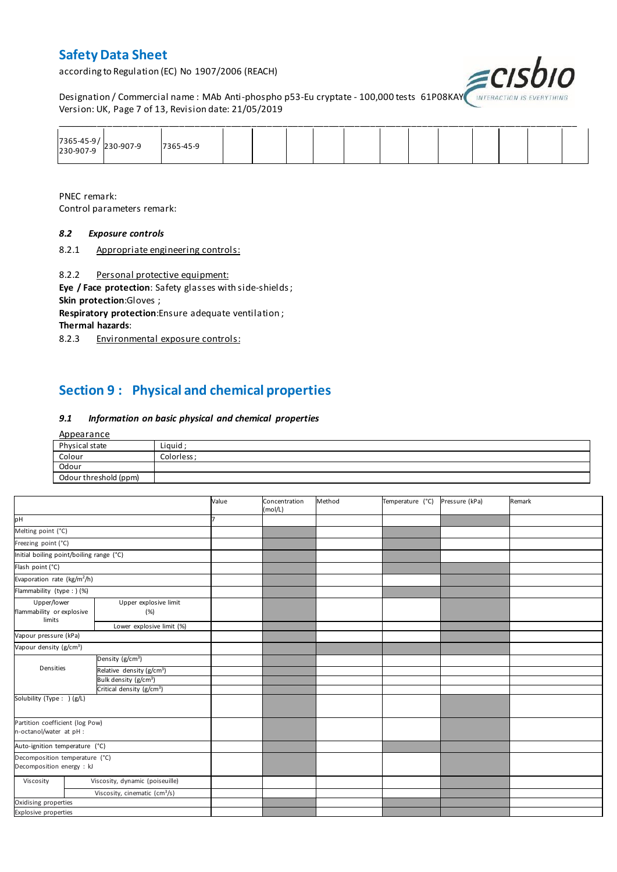according to Regulation (EC) No 1907/2006 (REACH)



Designation / Commercial name : MAb Anti-phospho p53-Eu cryptate - 100,000 tests 61P08KAY INTERACTION IS I Version: UK, Page 7 of 13, Revision date: 21/05/2019

| 7365-45-9/<br>230-907-9 230-907-9 | 7365-45-9 |  |  |  |  |  |  |
|-----------------------------------|-----------|--|--|--|--|--|--|

PNEC remark: Control parameters remark:

#### *8.2 Exposure controls*

8.2.1 Appropriate engineering controls:

8.2.2 Personal protective equipment:

**Eye / Face protection**: Safety glasses with side-shields ; **Skin protection**:Gloves ;

**Respiratory protection**:Ensure adequate ventilation ;

**Thermal hazards**:

8.2.3 Environmental exposure controls:

## **Section 9 : Physical and chemical properties**

#### *9.1 Information on basic physical and chemical properties*

| Appearance            |             |
|-----------------------|-------------|
| Physical state        | Liquid;     |
| Colour                | Colorless ; |
| Odour                 |             |
| Odour threshold (ppm) |             |

|                                                             |                                       | Value | Concentration<br>(mol/L) | Method | Temperature (°C) | Pressure (kPa) | Remark |
|-------------------------------------------------------------|---------------------------------------|-------|--------------------------|--------|------------------|----------------|--------|
| pH                                                          |                                       |       |                          |        |                  |                |        |
| Melting point (°C)                                          |                                       |       |                          |        |                  |                |        |
| Freezing point (°C)                                         |                                       |       |                          |        |                  |                |        |
| Initial boiling point/boiling range (°C)                    |                                       |       |                          |        |                  |                |        |
| Flash point (°C)                                            |                                       |       |                          |        |                  |                |        |
| Evaporation rate (kg/m <sup>2</sup> /h)                     |                                       |       |                          |        |                  |                |        |
| Flammability (type : ) (%)                                  |                                       |       |                          |        |                  |                |        |
| Upper/lower<br>flammability or explosive<br>limits          | Upper explosive limit<br>(%)          |       |                          |        |                  |                |        |
|                                                             | Lower explosive limit (%)             |       |                          |        |                  |                |        |
| Vapour pressure (kPa)                                       |                                       |       |                          |        |                  |                |        |
| Vapour density (g/cm <sup>3</sup> )                         |                                       |       |                          |        |                  |                |        |
|                                                             | Density (g/cm <sup>3</sup> )          |       |                          |        |                  |                |        |
| Densities                                                   | Relative density (g/cm <sup>3</sup> ) |       |                          |        |                  |                |        |
|                                                             | Bulk density (g/cm <sup>3</sup> )     |       |                          |        |                  |                |        |
|                                                             | Critical density (g/cm <sup>3</sup> ) |       |                          |        |                  |                |        |
| Solubility (Type: ) (g/L)                                   |                                       |       |                          |        |                  |                |        |
| Partition coefficient (log Pow)<br>n-octanol/water at pH :  |                                       |       |                          |        |                  |                |        |
| Auto-ignition temperature (°C)                              |                                       |       |                          |        |                  |                |        |
| Decomposition temperature (°C)<br>Decomposition energy : kJ |                                       |       |                          |        |                  |                |        |
| Viscosity                                                   | Viscosity, dynamic (poiseuille)       |       |                          |        |                  |                |        |
|                                                             | Viscosity, cinematic $(cm3/s)$        |       |                          |        |                  |                |        |
| Oxidising properties                                        |                                       |       |                          |        |                  |                |        |
| Explosive properties                                        |                                       |       |                          |        |                  |                |        |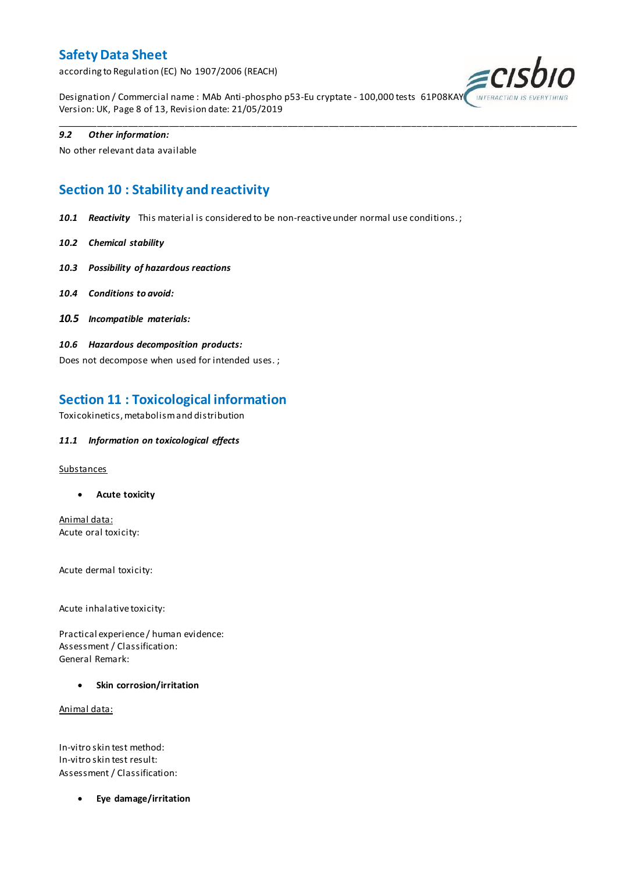according to Regulation (EC) No 1907/2006 (REACH)



Designation / Commercial name : MAb Anti-phospho p53-Eu cryptate - 100,000 tests 61P08KAY Version: UK, Page 8 of 13, Revision date: 21/05/2019

\_\_\_\_\_\_\_\_\_\_\_\_\_\_\_\_\_\_\_\_\_\_\_\_\_\_\_\_\_\_\_\_\_\_\_\_\_\_\_\_\_\_\_\_\_\_\_\_\_\_\_\_\_\_\_\_\_\_\_\_\_\_\_\_\_\_\_\_\_\_\_\_\_\_\_\_\_\_\_\_\_\_\_\_\_\_\_\_\_\_\_\_\_\_\_\_\_\_\_\_\_

#### *9.2 Other information:*

No other relevant data available

# **Section 10 : Stability and reactivity**

*10.1 Reactivity* This material is considered to be non-reactive under normal use conditions. ;

- *10.2 Chemical stability*
- *10.3 Possibility of hazardous reactions*
- *10.4 Conditions to avoid:*
- *10.5 Incompatible materials:*
- *10.6 Hazardous decomposition products:*

Does not decompose when used for intended uses. ;

### **Section 11 : Toxicological information**

Toxicokinetics, metabolism and distribution

#### *11.1 Information on toxicological effects*

#### **Substances**

**Acute toxicity**

Animal data: Acute oral toxicity:

Acute dermal toxicity:

Acute inhalative toxicity:

Practical experience / human evidence: Assessment / Classification: General Remark:

**Skin corrosion/irritation**

Animal data:

In-vitro skin test method: In-vitro skin test result: Assessment / Classification:

**Eye damage/irritation**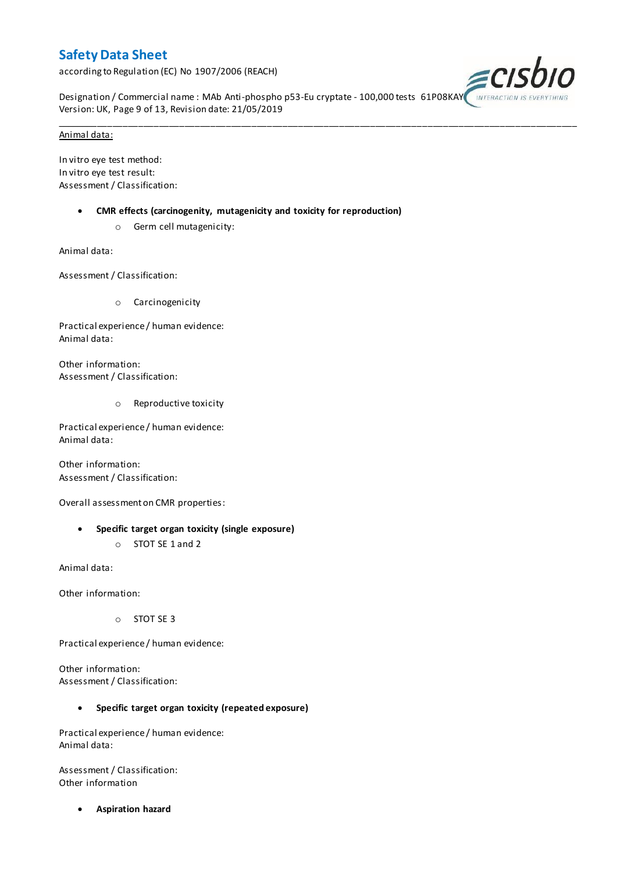according to Regulation (EC) No 1907/2006 (REACH)



Designation / Commercial name : MAb Anti-phospho p53-Eu cryptate - 100,000 tests 61P08KAY Version: UK, Page 9 of 13, Revision date: 21/05/2019

\_\_\_\_\_\_\_\_\_\_\_\_\_\_\_\_\_\_\_\_\_\_\_\_\_\_\_\_\_\_\_\_\_\_\_\_\_\_\_\_\_\_\_\_\_\_\_\_\_\_\_\_\_\_\_\_\_\_\_\_\_\_\_\_\_\_\_\_\_\_\_\_\_\_\_\_\_\_\_\_\_\_\_\_\_\_\_\_\_\_\_\_\_\_\_\_\_\_\_\_\_

#### Animal data:

In vitro eye test method: In vitro eye test result: Assessment / Classification:

- **CMR effects (carcinogenity, mutagenicity and toxicity for reproduction)**
	- o Germ cell mutagenicity:

Animal data:

Assessment / Classification:

o Carcinogenicity

Practical experience / human evidence: Animal data:

Other information: Assessment / Classification:

o Reproductive toxicity

Practical experience / human evidence: Animal data:

Other information: Assessment / Classification:

Overall assessment on CMR properties:

- **Specific target organ toxicity (single exposure)**
	- o STOT SE 1 and 2

Animal data:

Other information:

o STOT SE 3

Practical experience / human evidence:

Other information: Assessment / Classification:

#### **Specific target organ toxicity (repeated exposure)**

Practical experience / human evidence: Animal data:

Assessment / Classification: Other information

**Aspiration hazard**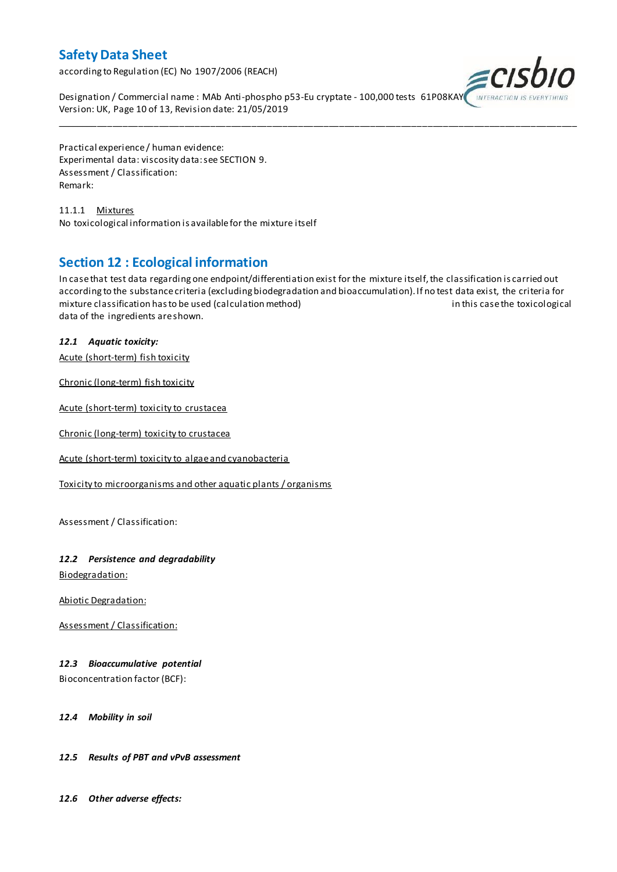according to Regulation (EC) No 1907/2006 (REACH)



Designation / Commercial name : MAb Anti-phospho p53-Eu cryptate - 100,000 tests 61P08KAY Version: UK, Page 10 of 13, Revision date: 21/05/2019

Practical experience / human evidence: Experimental data: viscosity data: see SECTION 9. Assessment / Classification: Remark:

11.1.1 Mixtures No toxicological information is available for the mixture itself

### **Section 12 : Ecological information**

In case that test data regarding one endpoint/differentiation exist for the mixture itself, the classification is carried out according to the substance criteria (excluding biodegradation and bioaccumulation). If no test data exist, the criteria for mixture classification has to be used (calculation method) in this case the toxicological data of the ingredients are shown.

\_\_\_\_\_\_\_\_\_\_\_\_\_\_\_\_\_\_\_\_\_\_\_\_\_\_\_\_\_\_\_\_\_\_\_\_\_\_\_\_\_\_\_\_\_\_\_\_\_\_\_\_\_\_\_\_\_\_\_\_\_\_\_\_\_\_\_\_\_\_\_\_\_\_\_\_\_\_\_\_\_\_\_\_\_\_\_\_\_\_\_\_\_\_\_\_\_\_\_\_\_

### *12.1 Aquatic toxicity:*

Acute (short-term) fish toxicity

Chronic (long-term) fish toxicity

Acute (short-term) toxicity to crustacea

Chronic (long-term) toxicity to crustacea

Acute (short-term) toxicity to algae and cyanobacteria

Toxicity to microorganisms and other aquatic plants / organisms

Assessment / Classification:

#### *12.2 Persistence and degradability*

Biodegradation:

Abiotic Degradation:

Assessment / Classification:

#### *12.3 Bioaccumulative potential*

Bioconcentration factor (BCF):

#### *12.4 Mobility in soil*

#### *12.5 Results of PBT and vPvB assessment*

*12.6 Other adverse effects:*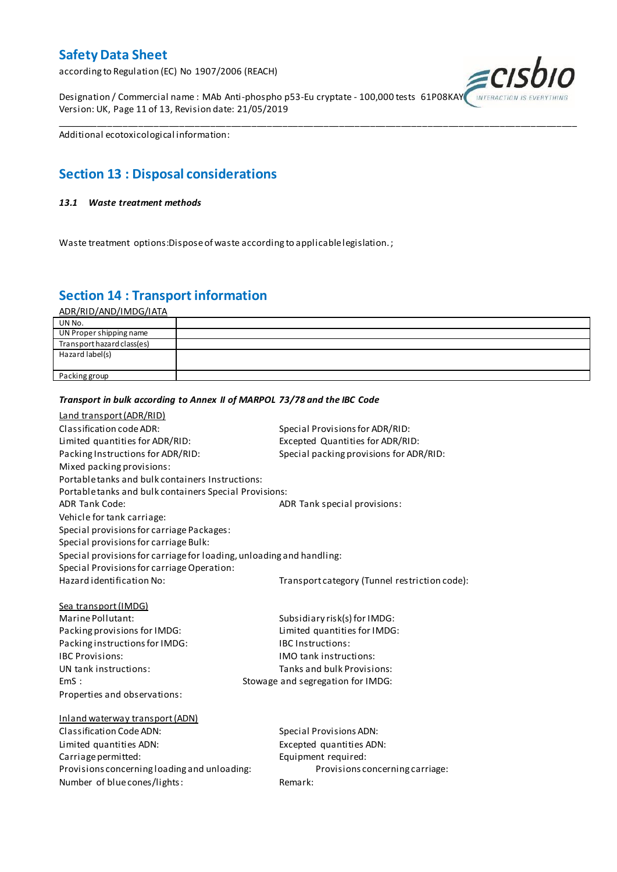according to Regulation (EC) No 1907/2006 (REACH)

Designation / Commercial name : MAb Anti-phospho p53-Eu cryptate - 100,000 tests 61P08KAY Version: UK, Page 11 of 13, Revision date: 21/05/2019



Additional ecotoxicological information:

# **Section 13 : Disposal considerations**

#### *13.1 Waste treatment methods*

Waste treatment options:Dispose of waste according to applicable legislation. ;

*Transport in bulk according to Annex II of MARPOL 73/78 and the IBC Code*

### **Section 14 : Transport information**

ADR/RID/AND/IMDG/IATA

| UN No.                     |  |
|----------------------------|--|
| UN Proper shipping name    |  |
| Transport hazard class(es) |  |
| Hazard label(s)            |  |
|                            |  |
| Packing group              |  |

\_\_\_\_\_\_\_\_\_\_\_\_\_\_\_\_\_\_\_\_\_\_\_\_\_\_\_\_\_\_\_\_\_\_\_\_\_\_\_\_\_\_\_\_\_\_\_\_\_\_\_\_\_\_\_\_\_\_\_\_\_\_\_\_\_\_\_\_\_\_\_\_\_\_\_\_\_\_\_\_\_\_\_\_\_\_\_\_\_\_\_\_\_\_\_\_\_\_\_\_\_

### Land transport (ADR/RID) Classification code ADR: Special Provisions for ADR/RID: Limited quantities for ADR/RID:<br>
Packing Instructions for ADR/RID: Special packing provisions for ADI Special packing provisions for ADR/RID: Mixed packing provisions: Portable tanks and bulk containers Instructions: Portable tanks and bulk containers Special Provisions: ADR Tank Code: ADR Tank special provisions: Vehicle for tank carriage: Special provisions for carriage Packages: Special provisions for carriage Bulk: Special provisions for carriage for loading, unloading and handling: Special Provisions for carriage Operation: Hazard identification No: Transport category (Tunnel restriction code): Sea transport (IMDG) Marine Pollutant: Subsidiary risk(s) for IMDG: Packing provisions for IMDG: Limited quantities for IMDG: Packing instructions for IMDG: IBC Instructions: IBC Provisions: IMO tank instructions: UN tank instructions: Tanks and bulk Provisions: EmS : Stowage and segregation for IMDG: Properties and observations: Inland waterway transport (ADN) Classification Code ADN: Special Provisions ADN: Limited quantities ADN: Excepted quantities ADN: Carriage permitted: Carriage permitted: Provisions concerning loading and unloading: Provisions concerning carriage: Number of blue cones/lights: Remark: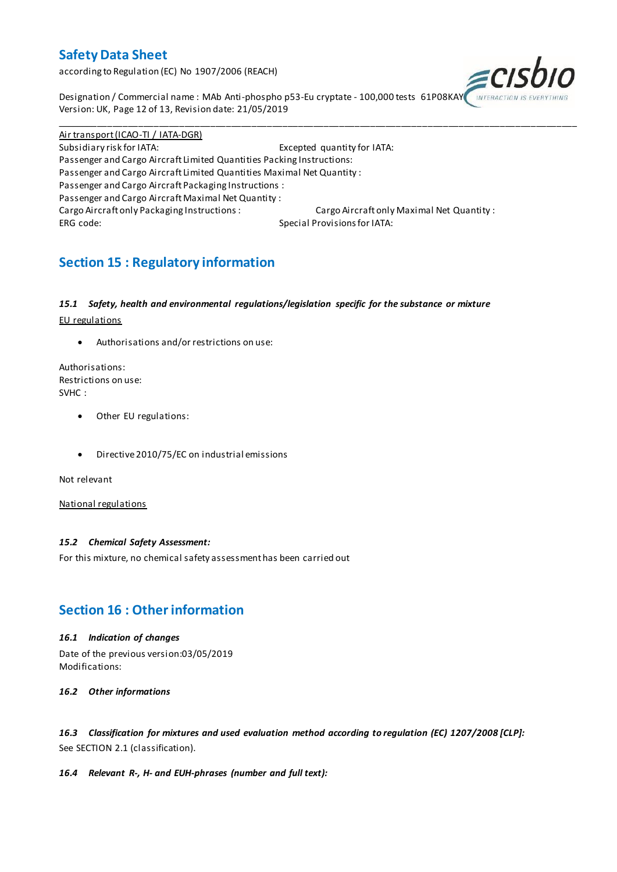according to Regulation (EC) No 1907/2006 (REACH)



Designation / Commercial name : MAb Anti-phospho p53-Eu cryptate - 100,000 tests 61P08KAY Version: UK, Page 12 of 13, Revision date: 21/05/2019

Air transport (ICAO-TI / IATA-DGR) Subsidiary risk for IATA: Excepted quantity for IATA: Passenger and Cargo Aircraft Limited Quantities Packing Instructions: Passenger and Cargo Aircraft Limited Quantities Maximal Net Quantity : Passenger and Cargo Aircraft Packaging Instructions : Passenger and Cargo Aircraft Maximal Net Quantity : Cargo Aircraft only Packaging Instructions : Cargo Aircraft only Maximal Net Quantity : ERG code: Special Provisions for IATA:

\_\_\_\_\_\_\_\_\_\_\_\_\_\_\_\_\_\_\_\_\_\_\_\_\_\_\_\_\_\_\_\_\_\_\_\_\_\_\_\_\_\_\_\_\_\_\_\_\_\_\_\_\_\_\_\_\_\_\_\_\_\_\_\_\_\_\_\_\_\_\_\_\_\_\_\_\_\_\_\_\_\_\_\_\_\_\_\_\_\_\_\_\_\_\_\_\_\_\_\_\_

# **Section 15 : Regulatory information**

#### *15.1 Safety, health and environmental regulations/legislation specific for the substance or mixture*

EU regulations

Authorisations and/or restrictions on use:

Authorisations: Restrictions on use: SVHC :

- Other EU regulations:
- Directive 2010/75/EC on industrial emissions

Not relevant

National regulations

#### *15.2 Chemical Safety Assessment:*

For this mixture, no chemical safety assessment has been carried out

### **Section 16 : Other information**

#### *16.1 Indication of changes*

Date of the previous version:03/05/2019 Modifications:

*16.2 Other informations*

*16.3 Classification for mixtures and used evaluation method according to regulation (EC) 1207/2008 [CLP]:* See SECTION 2.1 (classification).

#### *16.4 Relevant R-, H- and EUH-phrases (number and full text):*